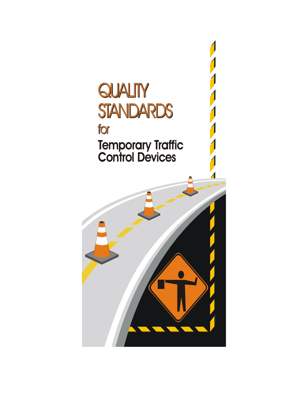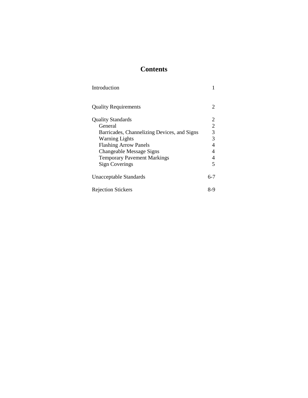# **Contents**

| Introduction                                |                         |
|---------------------------------------------|-------------------------|
| <b>Quality Requirements</b>                 | 2                       |
| <b>Quality Standards</b>                    | 2                       |
| General                                     | $\overline{2}$          |
| Barricades, Channelizing Devices, and Signs | $\overline{3}$          |
| <b>Warning Lights</b>                       | 3                       |
| <b>Flashing Arrow Panels</b>                | $\overline{4}$          |
| Changeable Message Signs                    | $\overline{4}$          |
| <b>Temporary Pavement Markings</b>          | 4                       |
| <b>Sign Coverings</b>                       | $\overline{\mathbf{5}}$ |
| Unacceptable Standards                      | 6-7                     |
| <b>Rejection Stickers</b>                   | 8-9                     |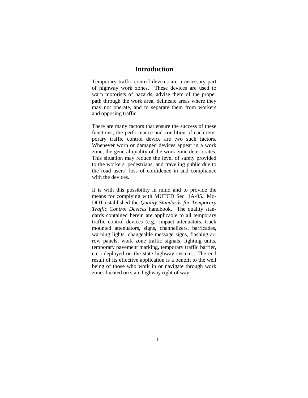## **Introduction**

Temporary traffic control devices are a necessary part of highway work zones. These devices are used to warn motorists of hazards, advise them of the proper path through the work area, delineate areas where they may not operate, and to separate them from workers and opposing traffic.

There are many factors that ensure the success of these functions; the performance and condition of each temporary traffic control device are two such factors. Whenever worn or damaged devices appear in a work zone, the general quality of the work zone deteriorates. This situation may reduce the level of safety provided to the workers, pedestrians, and traveling public due to the road users' loss of confidence in and compliance with the devices.

It is with this possibility in mind and to provide the means for complying with MUTCD Sec. 1A-05., Mo-DOT established the *Quality Standards for Temporary Traffic Control Devices* handbook. The quality standards contained herein are applicable to all temporary traffic control devices (e.g., impact attenuators, truck mounted attenuators, signs, channelizers, barricades, warning lights, changeable message signs, flashing arrow panels, work zone traffic signals, lighting units, temporary pavement marking, temporary traffic barrier, etc.) deployed on the state highway system. The end result of its effective application is a benefit to the well being of those who work in or navigate through work zones located on state highway right of way.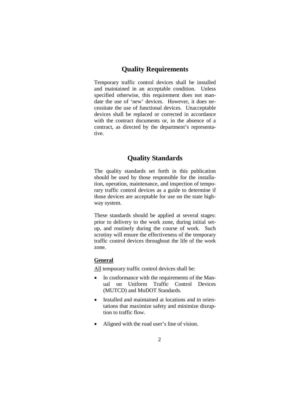### **Quality Requirements**

Temporary traffic control devices shall be installed and maintained in an acceptable condition. Unless specified otherwise, this requirement does not mandate the use of 'new' devices. However, it does necessitate the use of functional devices. Unacceptable devices shall be replaced or corrected in accordance with the contract documents or, in the absence of a contract, as directed by the department's representative.

## **Quality Standards**

The quality standards set forth in this publication should be used by those responsible for the installation, operation, maintenance, and inspection of temporary traffic control devices as a guide to determine if those devices are acceptable for use on the state highway system.

These standards should be applied at several stages: prior to delivery to the work zone, during initial setup, and routinely during the course of work. Such scrutiny will ensure the effectiveness of the temporary traffic control devices throughout the life of the work zone.

### **General**

All temporary traffic control devices shall be:

- In conformance with the requirements of the Manual on Uniform Traffic Control Devices (MUTCD) and MoDOT Standards.
- Installed and maintained at locations and in orientations that maximize safety and minimize disruption to traffic flow.
- Aligned with the road user's line of vision.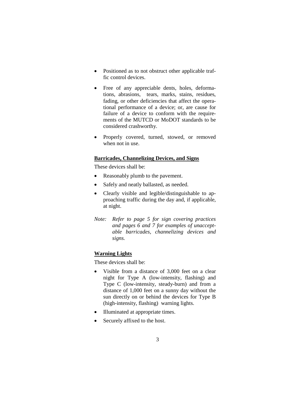- Positioned as to not obstruct other applicable traffic control devices.
- Free of any appreciable dents, holes, deformations, abrasions, tears, marks, stains, residues, fading, or other deficiencies that affect the operational performance of a device; or, are cause for failure of a device to conform with the requirements of the MUTCD or MoDOT standards to be considered crashworthy.
- Properly covered, turned, stowed, or removed when not in use.

#### **Barricades, Channelizing Devices, and Signs**

These devices shall be:

- Reasonably plumb to the pavement.
- Safely and neatly ballasted, as needed.
- Clearly visible and legible/distinguishable to approaching traffic during the day and, if applicable, at night.
- *Note: Refer to page 5 for sign covering practices and pages 6 and 7 for examples of unacceptable barricades, channelizing devices and signs.*

#### **Warning Lights**

These devices shall be:

- Visible from a distance of 3,000 feet on a clear night for Type A (low-intensity, flashing) and Type C (low-intensity, steady-burn) and from a distance of 1,000 feet on a sunny day without the sun directly on or behind the devices for Type B (high-intensity, flashing) warning lights.
- Illuminated at appropriate times.
- Securely affixed to the host.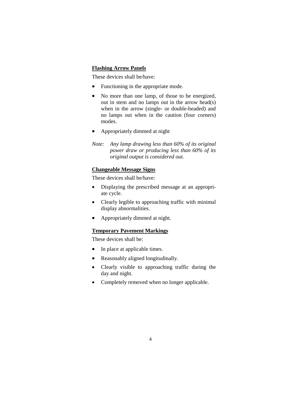#### **Flashing Arrow Panels**

These devices shall be/have:

- Functioning in the appropriate mode.
- No more than one lamp, of those to be energized, out in stem and no lamps out in the arrow head(s) when in the arrow (single- or double-headed) and no lamps out when in the caution (four corners) modes.
- Appropriately dimmed at night
- *Note: Any lamp drawing less than 60% of its original power draw or producing less than 60% of its original output is considered out.*

#### **Changeable Message Signs**

These devices shall be/have:

- Displaying the prescribed message at an appropriate cycle.
- Clearly legible to approaching traffic with minimal display abnormalities.
- Appropriately dimmed at night.

#### **Temporary Pavement Markings**

These devices shall be:

- In place at applicable times.
- Reasonably aligned longitudinally.
- Clearly visible to approaching traffic during the day and night.
- Completely removed when no longer applicable.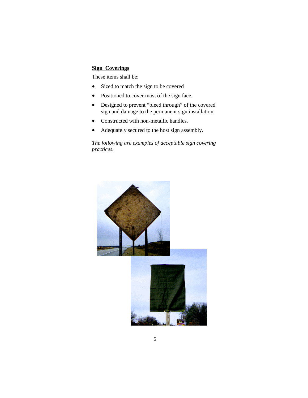#### **Sign Coverings**

These items shall be:

- Sized to match the sign to be covered
- Positioned to cover most of the sign face.
- Designed to prevent "bleed through" of the covered sign and damage to the permanent sign installation.
- Constructed with non-metallic handles.
- Adequately secured to the host sign assembly.

*The following are examples of acceptable sign covering practices.*

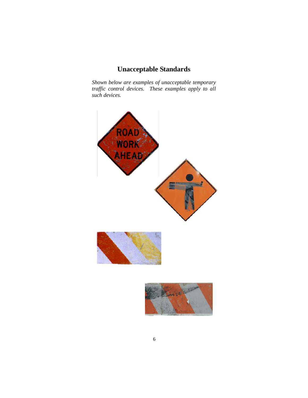# **Unacceptable Standards**

*Shown below are examples of unacceptable temporary traffic control devices. These examples apply to all such devices.*



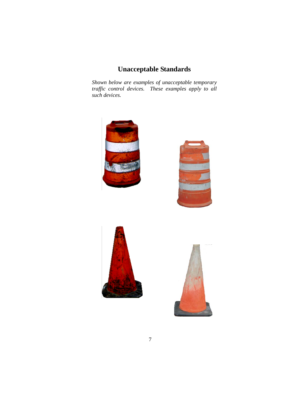# **Unacceptable Standards**

*Shown below are examples of unacceptable temporary traffic control devices. These examples apply to all such devices.*



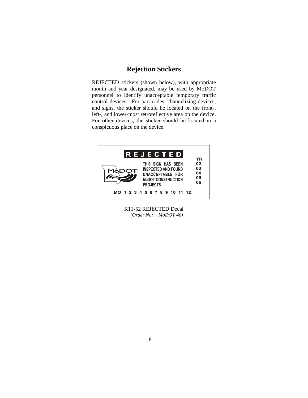## **Rejection Stickers**

REJECTED stickers (shown below), with appropriate month and year designated, may be used by MoDOT personnel to identify unacceptable temporary traffic control devices. For barricades, channelizing devices, and signs, the sticker should be located on the front-, left-, and lower-most retroreflective area on the device. For other devices, the sticker should be located in a conspicuous place on the device.



R11-52 REJECTED Decal *(Order No: . MoDOT 46)*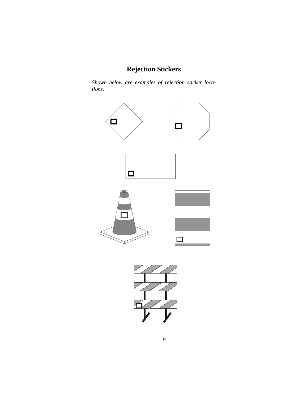# **Rejection Stickers**

*Shown below are examples of rejection sticker locations.*